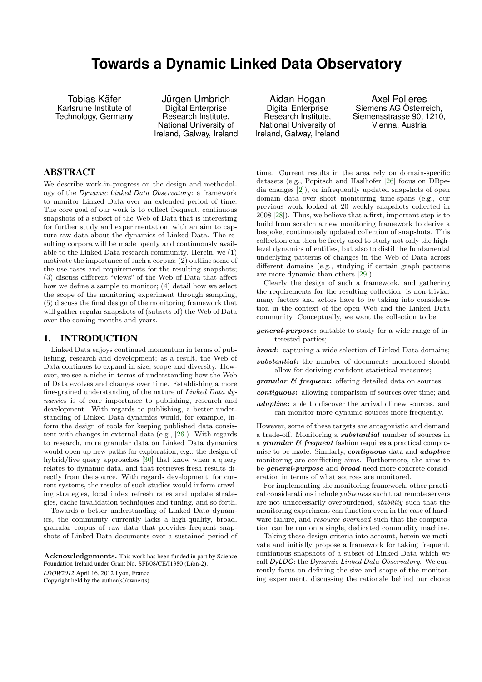# <span id="page-0-0"></span>**Towards a Dynamic Linked Data Observatory**

Tobias Käfer Karlsruhe Institute of Technology, Germany

Jürgen Umbrich Digital Enterprise Research Institute, National University of Ireland, Galway, Ireland

## ABSTRACT

We describe work-in-progress on the design and methodology of the Dynamic Linked Data Observatory: a framework to monitor Linked Data over an extended period of time. The core goal of our work is to collect frequent, continuous snapshots of a subset of the Web of Data that is interesting for further study and experimentation, with an aim to capture raw data about the dynamics of Linked Data. The resulting corpora will be made openly and continuously available to the Linked Data research community. Herein, we (1) motivate the importance of such a corpus; (2) outline some of the use-cases and requirements for the resulting snapshots; (3) discuss different "views" of the Web of Data that affect how we define a sample to monitor; (4) detail how we select the scope of the monitoring experiment through sampling, (5) discuss the final design of the monitoring framework that will gather regular snapshots of (subsets of) the Web of Data over the coming months and years.

## 1. INTRODUCTION

Linked Data enjoys continued momentum in terms of publishing, research and development; as a result, the Web of Data continues to expand in size, scope and diversity. However, we see a niche in terms of understanding how the Web of Data evolves and changes over time. Establishing a more fine-grained understanding of the nature of Linked Data dynamics is of core importance to publishing, research and development. With regards to publishing, a better understanding of Linked Data dynamics would, for example, inform the design of tools for keeping published data consistent with changes in external data (e.g., [\[26\]](#page-9-0)). With regards to research, more granular data on Linked Data dynamics would open up new paths for exploration, e.g., the design of hybrid/live query approaches [\[30\]](#page-9-1) that know when a query relates to dynamic data, and that retrieves fresh results directly from the source. With regards development, for current systems, the results of such studies would inform crawling strategies, local index refresh rates and update strategies, cache invalidation techniques and tuning, and so forth.

Towards a better understanding of Linked Data dynamics, the community currently lacks a high-quality, broad, granular corpus of raw data that provides frequent snapshots of Linked Data documents over a sustained period of

Acknowledgements. This work has been funded in part by Science Foundation Ireland under Grant No. SFI/08/CE/I1380 (Líon-2).

*LDOW2012* April 16, 2012 Lyon, France

Copyright held by the author(s)/owner(s).

Aidan Hogan Digital Enterprise Research Institute, National University of Ireland, Galway, Ireland

Axel Polleres Siemens AG Österreich, Siemensstrasse 90, 1210, Vienna, Austria

time. Current results in the area rely on domain-specific datasets (e.g., Popitsch and Haslhofer [\[26\]](#page-9-0) focus on DBpedia changes [\[2\]](#page-9-2)), or infrequently updated snapshots of open domain data over short monitoring time-spans (e.g., our previous work looked at 20 weekly snapshots collected in 2008 [\[28\]](#page-9-3)). Thus, we believe that a first, important step is to build from scratch a new monitoring framework to derive a bespoke, continuously updated collection of snapshots. This collection can then be freely used to study not only the highlevel dynamics of entities, but also to distil the fundamental underlying patterns of changes in the Web of Data across different domains (e.g., studying if certain graph patterns are more dynamic than others [\[29\]](#page-9-4)).

Clearly the design of such a framework, and gathering the requirements for the resulting collection, is non-trivial: many factors and actors have to be taking into consideration in the context of the open Web and the Linked Data community. Conceptually, we want the collection to be:

general-purpose: suitable to study for a wide range of interested parties;

**broad:** capturing a wide selection of Linked Data domains;

- substantial: the number of documents monitored should allow for deriving confident statistical measures;
- $granular \& frequency$  frequent: offering detailed data on sources;
- contiguous: allowing comparison of sources over time; and
- adaptive: able to discover the arrival of new sources, and can monitor more dynamic sources more frequently.

However, some of these targets are antagonistic and demand a trade-off. Monitoring a substantial number of sources in a granular & frequent fashion requires a practical compromise to be made. Similarly, *contiguous* data and *adaptive* monitoring are conflicting aims. Furthermore, the aims to be *general-purpose* and *broad* need more concrete consideration in terms of what sources are monitored.

For implementing the monitoring framework, other practical considerations include politeness such that remote servers are not unnecessarily overburdened, stability such that the monitoring experiment can function even in the case of hardware failure, and *resource overhead* such that the computation can be run on a single, dedicated commodity machine.

Taking these design criteria into account, herein we motivate and initially propose a framework for taking frequent, continuous snapshots of a subset of Linked Data which we call DyLDO: the Dynamic Linked Data Observatory. We currently focus on defining the size and scope of the monitoring experiment, discussing the rationale behind our choice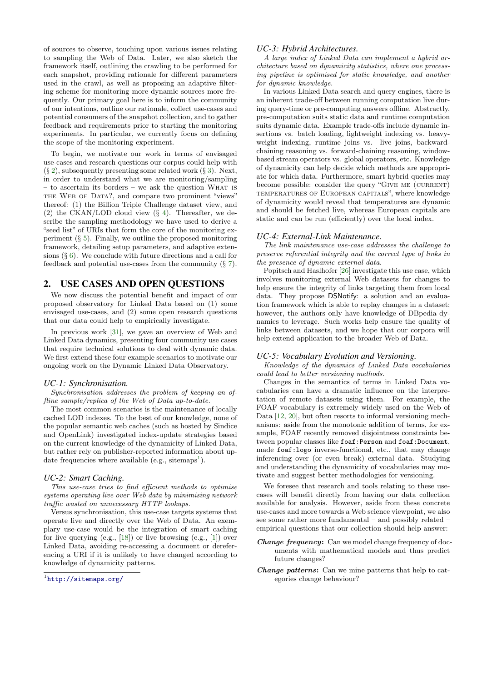of sources to observe, touching upon various issues relating to sampling the Web of Data. Later, we also sketch the framework itself, outlining the crawling to be performed for each snapshot, providing rationale for different parameters used in the crawl, as well as proposing an adaptive filtering scheme for monitoring more dynamic sources more frequently. Our primary goal here is to inform the community of our intentions, outline our rationale, collect use-cases and potential consumers of the snapshot collection, and to gather feedback and requirements prior to starting the monitoring experiments. In particular, we currently focus on defining the scope of the monitoring experiment.

To begin, we motivate our work in terms of envisaged use-cases and research questions our corpus could help with  $(\S 2)$  $(\S 2)$ , subsequently presenting some related work  $(\S 3)$  $(\S 3)$ . Next, in order to understand what we are monitoring/sampling – to ascertain its borders – we ask the question What is THE WEB OF DATA?, and compare two prominent "views" thereof: (1) the Billion Triple Challenge dataset view, and (2) the CKAN/LOD cloud view  $(\S$  [4\)](#page-2-1). Thereafter, we describe the sampling methodology we have used to derive a "seed list" of URIs that form the core of the monitoring experiment  $(\S 5)$  $(\S 5)$ . Finally, we outline the proposed monitoring framework, detailing setup parameters, and adaptive extensions  $(\S 6)$  $(\S 6)$ . We conclude with future directions and a call for feedback and potential use-cases from the community (§ [7\)](#page-8-0).

# <span id="page-1-0"></span>2. USE CASES AND OPEN QUESTIONS

We now discuss the potential benefit and impact of our proposed observatory for Linked Data based on (1) some envisaged use-cases, and (2) some open research questions that our data could help to empirically investigate.

In previous work [\[31\]](#page-9-5), we gave an overview of Web and Linked Data dynamics, presenting four community use cases that require technical solutions to deal with dynamic data. We first extend these four example scenarios to motivate our ongoing work on the Dynamic Linked Data Observatory.

#### *UC-1: Synchronisation.*

Synchronisation addresses the problem of keeping an offline sample/replica of the Web of Data up-to-date.

The most common scenarios is the maintenance of locally cached LOD indexes. To the best of our knowledge, none of the popular semantic web caches (such as hosted by Sindice and OpenLink) investigated index-update strategies based on the current knowledge of the dynamicity of Linked Data, but rather rely on publisher-reported information about up-date frequencies where available (e.g., sitemaps<sup>[1](#page-1-1)</sup>).

#### *UC-2: Smart Caching.*

This use-case tries to find efficient methods to optimise systems operating live over Web data by minimising network traffic wasted on unnecessary HTTP lookups.

Versus synchronisation, this use-case targets systems that operate live and directly over the Web of Data. An exemplary use-case would be the integration of smart caching for live querying (e.g., [\[18\]](#page-9-6)) or live browsing (e.g., [\[1\]](#page-9-7)) over Linked Data, avoiding re-accessing a document or dereferencing a URI if it is unlikely to have changed according to knowledge of dynamicity patterns.

#### *UC-3: Hybrid Architectures.*

A large index of Linked Data can implement a hybrid architecture based on dynamicity statistics, where one processing pipeline is optimised for static knowledge, and another for dynamic knowledge.

In various Linked Data search and query engines, there is an inherent trade-off between running computation live during query-time or pre-computing answers offline. Abstractly, pre-computation suits static data and runtime computation suits dynamic data. Example trade-offs include dynamic insertions vs. batch loading, lightweight indexing vs. heavyweight indexing, runtime joins vs. live joins, backwardchaining reasoning vs. forward-chaining reasoning, windowbased stream operators vs. global operators, etc. Knowledge of dynamicity can help decide which methods are appropriate for which data. Furthermore, smart hybrid queries may become possible: consider the query "GIVE ME  $(C \text{URRENT})$ temperatures of European capitals", where knowledge of dynamicity would reveal that temperatures are dynamic and should be fetched live, whereas European capitals are static and can be run (efficiently) over the local index.

#### *UC-4: External-Link Maintenance.*

The link maintenance use-case addresses the challenge to preserve referential integrity and the correct type of links in the presence of dynamic external data.

Popitsch and Haslhofer [\[26\]](#page-9-0) investigate this use case, which involves monitoring external Web datasets for changes to help ensure the integrity of links targeting them from local data. They propose DSNotify: a solution and an evaluation framework which is able to replay changes in a dataset; however, the authors only have knowledge of DBpedia dynamics to leverage. Such works help ensure the quality of links between datasets, and we hope that our corpora will help extend application to the broader Web of Data.

#### *UC-5: Vocabulary Evolution and Versioning.*

Knowledge of the dynamics of Linked Data vocabularies could lead to better versioning methods.

Changes in the semantics of terms in Linked Data vocabularies can have a dramatic influence on the interpretation of remote datasets using them. For example, the FOAF vocabulary is extremely widely used on the Web of Data [\[12,](#page-9-8) [20\]](#page-9-9), but often resorts to informal versioning mechanisms: aside from the monotonic addition of terms, for example, FOAF recently removed disjointness constraints between popular classes like foaf:Person and foaf:Document, made foaf:logo inverse-functional, etc., that may change inferencing over (or even break) external data. Studying and understanding the dynamicity of vocabularies may motivate and suggest better methodologies for versioning.

We foresee that research and tools relating to these usecases will benefit directly from having our data collection available for analysis. However, aside from these concrete use-cases and more towards a Web science viewpoint, we also see some rather more fundamental – and possibly related – empirical questions that our collection should help answer:

- Change frequency: Can we model change frequency of documents with mathematical models and thus predict future changes?
- Change patterns: Can we mine patterns that help to categories change behaviour?

<span id="page-1-1"></span><sup>1</sup> <http://sitemaps.org/>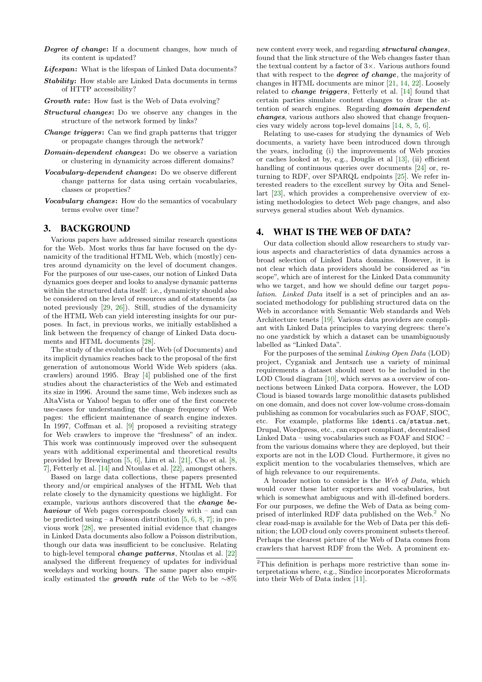- Degree of change: If a document changes, how much of its content is updated?
- Lifespan: What is the lifespan of Linked Data documents?
- Stability: How stable are Linked Data documents in terms of HTTP accessibility?
- Growth rate: How fast is the Web of Data evolving?
- Structural changes: Do we observe any changes in the structure of the network formed by links?
- Change triggers: Can we find graph patterns that trigger or propagate changes through the network?
- Domain-dependent changes: Do we observe a variation or clustering in dynamicity across different domains?
- Vocabulary-dependent changes: Do we observe different change patterns for data using certain vocabularies, classes or properties?
- Vocabulary changes: How do the semantics of vocabulary terms evolve over time?

## <span id="page-2-0"></span>3. BACKGROUND

Various papers have addressed similar research questions for the Web. Most works thus far have focused on the dynamicity of the traditional HTML Web, which (mostly) centres around dynamicity on the level of document changes. For the purposes of our use-cases, our notion of Linked Data dynamics goes deeper and looks to analyse dynamic patterns within the structured data itself: i.e., dynamicity should also be considered on the level of resources and of statements (as noted previously [\[29,](#page-9-4) [26\]](#page-9-0)). Still, studies of the dynamicity of the HTML Web can yield interesting insights for our purposes. In fact, in previous works, we initially established a link between the frequency of change of Linked Data documents and HTML documents [\[28\]](#page-9-3).

The study of the evolution of the Web (of Documents) and its implicit dynamics reaches back to the proposal of the first generation of autonomous World Wide Web spiders (aka. crawlers) around 1995. Bray [\[4\]](#page-9-10) published one of the first studies about the characteristics of the Web and estimated its size in 1996. Around the same time, Web indexes such as AltaVista or Yahoo! began to offer one of the first concrete use-cases for understanding the change frequency of Web pages: the efficient maintenance of search engine indexes. In 1997, Coffman et al. [\[9\]](#page-9-11) proposed a revisiting strategy for Web crawlers to improve the "freshness" of an index. This work was continuously improved over the subsequent years with additional experimental and theoretical results provided by Brewington [\[5,](#page-9-12) [6\]](#page-9-13), Lim et al. [\[21\]](#page-9-14), Cho et al. [\[8,](#page-9-15) [7\]](#page-9-16), Fetterly et al. [\[14\]](#page-9-17) and Ntoulas et al. [\[22\]](#page-9-18), amongst others.

Based on large data collections, these papers presented theory and/or empirical analyses of the HTML Web that relate closely to the dynamicity questions we highlight. For example, various authors discovered that the change behaviour of Web pages corresponds closely with – and can be predicted using – a Poisson distribution  $[5, 6, 8, 7]$  $[5, 6, 8, 7]$  $[5, 6, 8, 7]$  $[5, 6, 8, 7]$  $[5, 6, 8, 7]$  $[5, 6, 8, 7]$  $[5, 6, 8, 7]$ ; in previous work [\[28\]](#page-9-3), we presented initial evidence that changes in Linked Data documents also follow a Poisson distribution, though our data was insufficient to be conclusive. Relating to high-level temporal change patterns, Ntoulas et al. [\[22\]](#page-9-18) analysed the different frequency of updates for individual weekdays and working hours. The same paper also empirically estimated the growth rate of the Web to be  $~\sim 8\%$ 

new content every week, and regarding structural changes, found that the link structure of the Web changes faster than the textual content by a factor of  $3\times$ . Various authors found that with respect to the degree of change, the majority of changes in HTML documents are minor [\[21,](#page-9-14) [14,](#page-9-17) [22\]](#page-9-18). Loosely related to *change triggers*, Fetterly et al. [\[14\]](#page-9-17) found that certain parties simulate content changes to draw the attention of search engines. Regarding domain dependent changes, various authors also showed that change frequencies vary widely across top-level domains [\[14,](#page-9-17) [8,](#page-9-15) [5,](#page-9-12) [6\]](#page-9-13).

Relating to use-cases for studying the dynamics of Web documents, a variety have been introduced down through the years, including (i) the improvements of Web proxies or caches looked at by, e.g., Douglis et al [\[13\]](#page-9-19), (ii) efficient handling of continuous queries over documents [\[24\]](#page-9-20) or, returning to RDF, over SPARQL endpoints [\[25\]](#page-9-21). We refer interested readers to the excellent survey by Oita and Senellart [\[23\]](#page-9-22), which provides a comprehensive overview of existing methodologies to detect Web page changes, and also surveys general studies about Web dynamics.

#### <span id="page-2-1"></span>4. WHAT IS THE WEB OF DATA?

Our data collection should allow researchers to study various aspects and characteristics of data dynamics across a broad selection of Linked Data domains. However, it is not clear which data providers should be considered as "in scope", which are of interest for the Linked Data community who we target, and how we should define our target *popu*lation. Linked Data itself is a set of principles and an associated methodology for publishing structured data on the Web in accordance with Semantic Web standards and Web Architecture tenets [\[19\]](#page-9-23). Various data providers are compliant with Linked Data principles to varying degrees: there's no one yardstick by which a dataset can be unambiguously labelled as "Linked Data".

For the purposes of the seminal Linking Open Data (LOD) project, Cyganiak and Jentszch use a variety of minimal requirements a dataset should meet to be included in the LOD Cloud diagram [\[10\]](#page-9-24), which serves as a overview of connections between Linked Data corpora. However, the LOD Cloud is biased towards large monolithic datasets published on one domain, and does not cover low-volume cross-domain publishing as common for vocabularies such as FOAF, SIOC, etc. For example, platforms like identi.ca/status.net, Drupal, Wordpress, etc., can export compliant, decentralised Linked Data – using vocabularies such as FOAF and SIOC – from the various domains where they are deployed, but their exports are not in the LOD Cloud. Furthermore, it gives no explicit mention to the vocabularies themselves, which are of high relevance to our requirements.

A broader notion to consider is the Web of Data, which would cover these latter exporters and vocabularies, but which is somewhat ambiguous and with ill-defined borders. For our purposes, we define the Web of Data as being comprised of interlinked RDF data published on the Web.[2](#page-2-2) No clear road-map is available for the Web of Data per this definition; the LOD cloud only covers prominent subsets thereof. Perhaps the clearest picture of the Web of Data comes from crawlers that harvest RDF from the Web. A prominent ex-

<span id="page-2-2"></span><sup>2</sup>This definition is perhaps more restrictive than some interpretations where, e.g., Sindice incorporates Microformats into their Web of Data index [\[11\]](#page-9-25).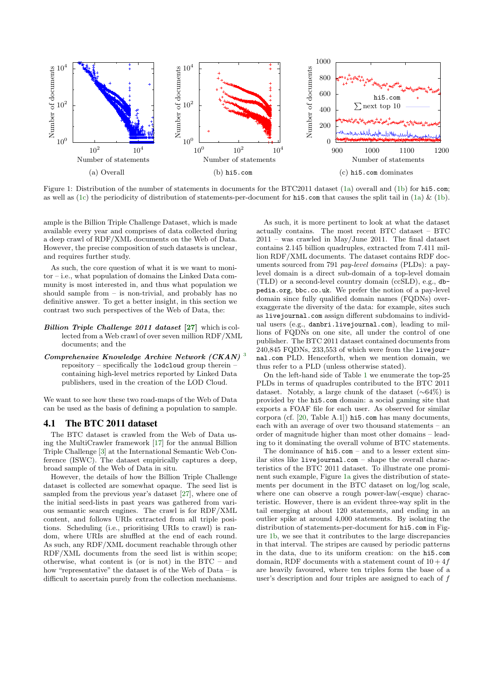<span id="page-3-0"></span>

Figure 1: Distribution of the number of statements in documents for the BTC2011 dataset [\(1a\)](#page-3-0) overall and [\(1b\)](#page-3-1) for hi5.com; as well as [\(1c\)](#page-3-2) the periodicity of distribution of statements-per-document for hi5.com that causes the split tail in [\(1a\)](#page-3-0)  $\&$  [\(1b\)](#page-3-1).

ample is the Billion Triple Challenge Dataset, which is made available every year and comprises of data collected during a deep crawl of RDF/XML documents on the Web of Data. However, the precise composition of such datasets is unclear, and requires further study.

As such, the core question of what it is we want to monitor – i.e., what population of domains the Linked Data community is most interested in, and thus what population we should sample from – is non-trivial, and probably has no definitive answer. To get a better insight, in this section we contrast two such perspectives of the Web of Data, the:

- Billion Triple Challenge 2011 dataset [\[27\]](#page-9-26) which is collected from a Web crawl of over seven million RDF/XML documents; and the
- Comprehensive Knowledge Archive Network (CKAN)  $3$ repository – specifically the lodcloud group therein – containing high-level metrics reported by Linked Data publishers, used in the creation of the LOD Cloud.

We want to see how these two road-maps of the Web of Data can be used as the basis of defining a population to sample.

## 4.1 The BTC 2011 dataset

The BTC dataset is crawled from the Web of Data using the MultiCrawler framework [\[17\]](#page-9-27) for the annual Billion Triple Challenge [\[3\]](#page-9-28) at the International Semantic Web Conference (ISWC). The dataset empirically captures a deep, broad sample of the Web of Data in situ.

However, the details of how the Billion Triple Challenge dataset is collected are somewhat opaque. The seed list is sampled from the previous year's dataset [\[27\]](#page-9-26), where one of the initial seed-lists in past years was gathered from various semantic search engines. The crawl is for RDF/XML content, and follows URIs extracted from all triple positions. Scheduling (i.e., prioritising URIs to crawl) is random, where URIs are shuffled at the end of each round. As such, any RDF/XML document reachable through other RDF/XML documents from the seed list is within scope; otherwise, what content is (or is not) in the BTC – and how "representative" the dataset is of the Web of Data – is difficult to ascertain purely from the collection mechanisms.

<span id="page-3-2"></span><span id="page-3-1"></span>As such, it is more pertinent to look at what the dataset actually contains. The most recent BTC dataset – BTC 2011 – was crawled in May/June 2011. The final dataset contains 2.145 billion quadruples, extracted from 7.411 million RDF/XML documents. The dataset contains RDF documents sourced from 791 pay-level domains (PLDs): a paylevel domain is a direct sub-domain of a top-level domain (TLD) or a second-level country domain (ccSLD), e.g., dbpedia.org, bbc.co.uk. We prefer the notion of a pay-level domain since fully qualified domain names (FQDNs) overexaggerate the diversity of the data: for example, sites such as livejournal.com assign different subdomains to individual users (e.g., danbri.livejournal.com), leading to millions of FQDNs on one site, all under the control of one publisher. The BTC 2011 dataset contained documents from 240,845 FQDNs, 233,553 of which were from the livejournal.com PLD. Henceforth, when we mention domain, we thus refer to a PLD (unless otherwise stated).

On the left-hand side of Table [1](#page-5-0) we enumerate the top-25 PLDs in terms of quadruples contributed to the BTC 2011 dataset. Notably, a large chunk of the dataset (∼64%) is provided by the hi5.com domain: a social gaming site that exports a FOAF file for each user. As observed for similar corpora (cf. [\[20,](#page-9-9) Table A.1]) hi5.com has many documents, each with an average of over two thousand statements – an order of magnitude higher than most other domains – leading to it dominating the overall volume of BTC statements.

The dominance of hi5.com – and to a lesser extent similar sites like livejournal.com – shape the overall characteristics of the BTC 2011 dataset. To illustrate one prominent such example, Figure [1a](#page-3-0) gives the distribution of statements per document in the BTC dataset on log/log scale, where one can observe a rough power-law(-esque) characteristic. However, there is an evident three-way split in the tail emerging at about 120 statements, and ending in an outlier spike at around 4,000 statements. By isolating the distribution of statements-per-document for hi5.com in Figure [1b,](#page-3-1) we see that it contributes to the large discrepancies in that interval. The stripes are caused by periodic patterns in the data, due to its uniform creation: on the hi5.com domain, RDF documents with a statement count of  $10 + 4f$ are heavily favoured, where ten triples form the base of a user's description and four triples are assigned to each of f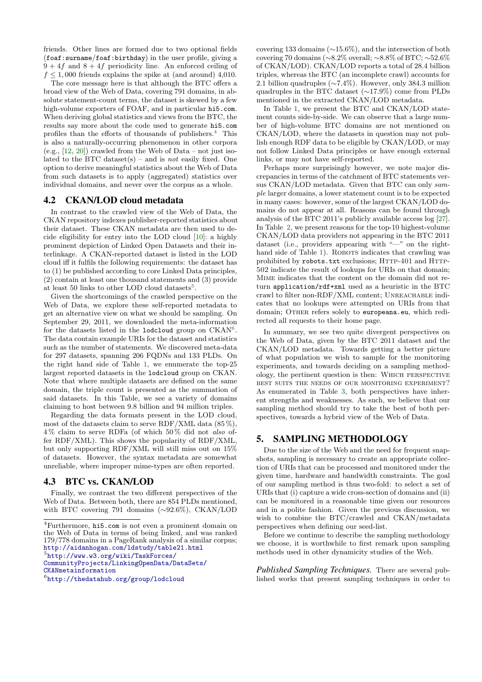friends. Other lines are formed due to two optional fields (foaf:surname/foaf:birthday) in the user profile, giving a  $9 + 4f$  and  $8 + 4f$  periodicity line. An enforced ceiling of  $f \leq 1,000$  friends explains the spike at (and around) 4,010.

The core message here is that although the BTC offers a broad view of the Web of Data, covering 791 domains, in absolute statement-count terms, the dataset is skewed by a few high-volume exporters of FOAF, and in particular hi5.com. When deriving global statistics and views from the BTC, the results say more about the code used to generate hi5.com profiles than the efforts of thousands of publishers.<sup>[4](#page-4-1)</sup> This is also a naturally-occurring phenomenon in other corpora  $(e.g., [12, 20])$  $(e.g., [12, 20])$  $(e.g., [12, 20])$  $(e.g., [12, 20])$  $(e.g., [12, 20])$  crawled from the Web of Data – not just isolated to the BTC dataset(s) – and is *not* easily fixed. One option to derive meaningful statistics about the Web of Data from such datasets is to apply (aggregated) statistics over individual domains, and never over the corpus as a whole.

## 4.2 CKAN/LOD cloud metadata

In contrast to the crawled view of the Web of Data, the CKAN repository indexes publisher-reported statistics about their dataset. These CKAN metadata are then used to decide eligibility for entry into the LOD cloud [\[10\]](#page-9-24): a highly prominent depiction of Linked Open Datasets and their interlinkage. A CKAN-reported dataset is listed in the LOD cloud iff it fulfils the following requirements: the dataset has to (1) be published according to core Linked Data principles, (2) contain at least one thousand statements and (3) provide at least [5](#page-4-2)0 links to other LOD cloud datasets<sup>5</sup>.

Given the shortcomings of the crawled perspective on the Web of Data, we explore these self-reported metadata to get an alternative view on what we should be sampling. On September 29, 2011, we downloaded the meta-information for the datasets listed in the lodcloud group on CKAN<sup>[6](#page-4-3)</sup>. The data contain example URIs for the dataset and statistics such as the number of statements. We discovered meta-data for 297 datasets, spanning 206 FQDNs and 133 PLDs. On the right hand side of Table [1,](#page-5-0) we enumerate the top-25 largest reported datasets in the lodcloud group on CKAN. Note that where multiple datasets are defined on the same domain, the triple count is presented as the summation of said datasets. In this Table, we see a variety of domains claiming to host between 9.8 billion and 94 million triples.

Regarding the data formats present in the LOD cloud, most of the datasets claim to serve RDF/XML data  $(85\%)$ , 4 % claim to serve RDFa (of which 50 % did not also offer RDF/XML). This shows the popularity of RDF/XML, but only supporting RDF/XML will still miss out on 15% of datasets. However, the syntax metadata are somewhat unreliable, where improper mime-types are often reported.

# 4.3 BTC vs. CKAN/LOD

Finally, we contrast the two different perspectives of the Web of Data. Between both, there are 854 PLDs mentioned, with BTC covering 791 domains (∼92.6%), CKAN/LOD

<span id="page-4-2"></span>5 [http://www.w3.org/wiki/TaskForces/](http://www.w3.org/wiki/TaskForces/CommunityProjects/LinkingOpenData/DataSets/CKANmetainformation)

[CommunityProjects/LinkingOpenData/DataSets/](http://www.w3.org/wiki/TaskForces/CommunityProjects/LinkingOpenData/DataSets/CKANmetainformation) [CKANmetainformation](http://www.w3.org/wiki/TaskForces/CommunityProjects/LinkingOpenData/DataSets/CKANmetainformation)

covering 133 domains (∼15.6%), and the intersection of both covering 70 domains (∼8.2% overall; ∼8.8% of BTC; ∼52.6% of CKAN/LOD). CKAN/LOD reports a total of 28.4 billion triples, whereas the BTC (an incomplete crawl) accounts for 2.1 billion quadruples (∼7.4%). However, only 384.3 million quadruples in the BTC dataset (∼17.9%) come from PLDs mentioned in the extracted CKAN/LOD metadata.

In Table [1,](#page-5-0) we present the BTC and CKAN/LOD statement counts side-by-side. We can observe that a large number of high-volume BTC domains are not mentioned on CKAN/LOD, where the datasets in question may not publish enough RDF data to be eligible by CKAN/LOD, or may not follow Linked Data principles or have enough external links, or may not have self-reported.

Perhaps more surprisingly however, we note major discrepancies in terms of the catchment of BTC statements versus CKAN/LOD metadata. Given that BTC can only sample larger domains, a lower statement count is to be expected in many cases: however, some of the largest CKAN/LOD domains do not appear at all. Reasons can be found through analysis of the BTC 2011's publicly available access log [\[27\]](#page-9-26). In Table [2,](#page-5-1) we present reasons for the top-10 highest-volume CKAN/LOD data providers not appearing in the BTC 2011 dataset (i.e., providers appearing with "—" on the right-hand side of Table [1\)](#page-5-0). ROBOTS indicates that crawling was prohibited by robots.txt exclusions; HTTP-401 and HTTP-502 indicate the result of lookups for URIs on that domain; Mime indicates that the content on the domain did not return application/rdf+xml used as a heuristic in the BTC crawl to filter non-RDF/XML content; Unreachable indicates that no lookups were attempted on URIs from that domain; OTHER refers solely to europeana.eu, which redirected all requests to their home page.

In summary, we see two quite divergent perspectives on the Web of Data, given by the BTC 2011 dataset and the CKAN/LOD metadata. Towards getting a better picture of what population we wish to sample for the monitoring experiments, and towards deciding on a sampling methodology, the pertinent question is then: Which perspective best suits the needs of our monitoring experiment? As enumerated in Table [3,](#page-5-2) both perspectives have inherent strengths and weaknesses. As such, we believe that our sampling method should try to take the best of both perspectives, towards a hybrid view of the Web of Data.

# <span id="page-4-0"></span>5. SAMPLING METHODOLOGY

Due to the size of the Web and the need for frequent snapshots, sampling is necessary to create an appropriate collection of URIs that can be processed and monitored under the given time, hardware and bandwidth constraints. The goal of our sampling method is thus two-fold: to select a set of URIs that (i) capture a wide cross-section of domains and (ii) can be monitored in a reasonable time given our resources and in a polite fashion. Given the previous discussion, we wish to combine the BTC/crawled and CKAN/metadata perspectives when defining our seed-list.

Before we continue to describe the sampling methodology we choose, it is worthwhile to first remark upon sampling methods used in other dynamicity studies of the Web.

*Published Sampling Techniques.* There are several published works that present sampling techniques in order to

<span id="page-4-1"></span><sup>4</sup>Furthermore, hi5.com is not even a prominent domain on the Web of Data in terms of being linked, and was ranked 179/778 domains in a PageRank analysis of a similar corpus; <http://aidanhogan.com/ldstudy/table21.html>

<span id="page-4-3"></span> $^6$ <http://thedatahub.org/group/lodcloud>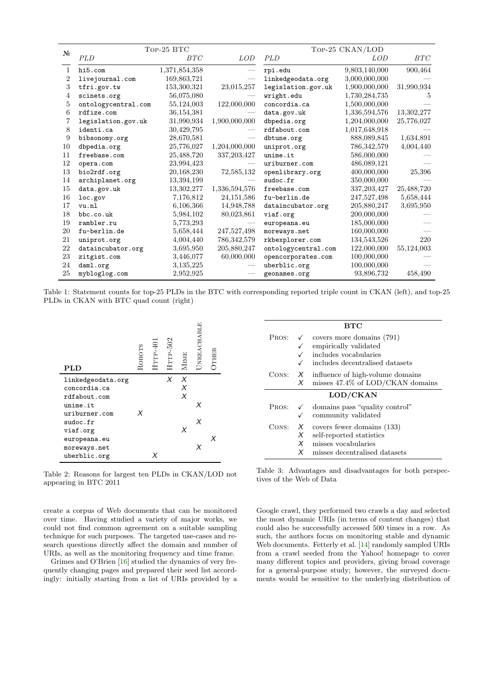<span id="page-5-0"></span>

| $N_2$ | Top-25 BTC          |               |                          | TOP-25 CKAN/LOD     |               |            |  |
|-------|---------------------|---------------|--------------------------|---------------------|---------------|------------|--|
|       | PLD                 | BTC           | <i>LOD</i>               | <b>PLD</b>          | LOD           | BTC        |  |
| 1     | hi5.com             | 1,371,854,358 |                          | rpi.edu             | 9,803,140,000 | 900,464    |  |
| 2     | livejournal.com     | 169,863,721   |                          | linkedgeodata.org   | 3,000,000,000 |            |  |
| 3     | tfri.gov.tw         | 153,300,321   | 23,015,257               | legislation.gov.uk  | 1,900,000,000 | 31,990,934 |  |
| 4     | scinets.org         | 56,075,080    |                          | wright.edu          | 1,730,284,735 | 5          |  |
| 5     | ontologycentral.com | 55,124,003    | 122,000,000              | concordia.ca        | 1,500,000,000 |            |  |
| 6     | rdfize.com          | 36,154,381    |                          | data.gov.uk         | 1,336,594,576 | 13,302,277 |  |
| 7     | legislation.gov.uk  | 31,990,934    | 1,900,000,000            | dbpedia.org         | 1,204,000,000 | 25,776,027 |  |
| 8     | identi.ca           | 30,429,795    |                          | rdfabout.com        | 1,017,648,918 |            |  |
| 9     | bibsonomy.org       | 28,670,581    | $\overline{\phantom{0}}$ | dbtune.org          | 888,089,845   | 1,634,891  |  |
| 10    | dbpedia.org         | 25,776,027    | 1,204,000,000            | uniprot.org         | 786, 342, 579 | 4,004,440  |  |
| 11    | freebase.com        | 25,488,720    | 337, 203, 427            | unime.it            | 586,000,000   |            |  |
| 12    | opera.com           | 23,994,423    |                          | uriburner.com       | 486,089,121   |            |  |
| 13    | bio2rdf.org         | 20,168,230    | 72,585,132               | openlibrary.org     | 400,000,000   | 25,396     |  |
| 14    | archiplanet.org     | 13,394,199    |                          | sudoc.fr            | 350,000,000   |            |  |
| 15    | data.gov.uk         | 13,302,277    | 1,336,594,576            | freebase.com        | 337, 203, 427 | 25,488,720 |  |
| 16    | loc.gov             | 7,176,812     | 24, 151, 586             | fu-berlin.de        | 247,527,498   | 5,658,444  |  |
| 17    | vu.nl               | 6,106,366     | 14,948,788               | dataincubator.org   | 205,880,247   | 3,695,950  |  |
| 18    | bbc.co.uk           | 5,984,102     | 80,023,861               | viaf.org            | 200,000,000   |            |  |
| 19    | rambler.ru          | 5,773,293     |                          | europeana.eu        | 185,000,000   |            |  |
| 20    | fu-berlin.de        | 5,658,444     | 247,527,498              | moreways.net        | 160,000,000   |            |  |
| 21    | uniprot.org         | 4,004,440     | 786, 342, 579            | rkbexplorer.com     | 134,543,526   | 220        |  |
| 22    | dataincubator.org   | 3,695,950     | 205,880,247              | ontologycentral.com | 122,000,000   | 55,124,003 |  |
| 23    | zitgist.com         | 3,446,077     | 60,000,000               | opencorporates.com  | 100,000,000   |            |  |
| 24    | daml.org            | 3,135,225     |                          | uberblic.org        | 100,000,000   |            |  |
| 25    | mybloglog.com       | 2,952,925     |                          | geonames.org        | 93,896,732    | 458,490    |  |

Table 1: Statement counts for top-25 PLDs in the BTC with corresponding reported triple count in CKAN (left), and top-25 PLDs in CKAN with BTC quad count (right)

<span id="page-5-1"></span>

| <b>PLD</b>        | ROBOTS | HTTP-401 | HTTP-502 | <b>MIME</b> | UNREACHABLE | OTHER |
|-------------------|--------|----------|----------|-------------|-------------|-------|
| linkedgeodata.org |        |          | X        | $\chi$      |             |       |
| concordia.ca      |        |          |          | $\times$    |             |       |
| rdfabout.com      |        |          |          | $\times$    |             |       |
| unime.it          |        |          |          |             | X           |       |
| uriburner.com     | x      |          |          |             |             |       |
| sudoc.fr          |        |          |          |             | X           |       |
| viaf.org          |        |          |          | X           |             |       |
| europeana.eu      |        |          |          |             |             | x     |
| moreways.net      |        |          |          |             |             |       |
| uberblic.org      |        |          |          |             |             |       |

Table 2: Reasons for largest ten PLDs in CKAN/LOD not appearing in BTC 2011

create a corpus of Web documents that can be monitored over time. Having studied a variety of major works, we could not find common agreement on a suitable sampling technique for such purposes. The targeted use-cases and research questions directly affect the domain and number of URIs, as well as the monitoring frequency and time frame.

Grimes and O'Brien [\[16\]](#page-9-29) studied the dynamics of very frequently changing pages and prepared their seed list accordingly: initially starting from a list of URIs provided by a

<span id="page-5-2"></span>

| BTC                |                                 |                                                                                                                                          |  |  |  |  |
|--------------------|---------------------------------|------------------------------------------------------------------------------------------------------------------------------------------|--|--|--|--|
| Pros:              |                                 | $\checkmark$ covers more domains (791)<br>$\checkmark$ empirically validated<br>includes vocabularies<br>includes decentralised datasets |  |  |  |  |
|                    | X                               | CONS: $X$ influence of high-volume domains<br>misses $47.4\%$ of LOD/CKAN domains                                                        |  |  |  |  |
| LOD/CKAN           |                                 |                                                                                                                                          |  |  |  |  |
| Pros: $\checkmark$ |                                 | domains pass "quality control"<br>community validated                                                                                    |  |  |  |  |
| CONS:              | $\boldsymbol{X}$<br>X<br>X<br>X | covers fewer domains (133)<br>self-reported statistics<br>misses vocabularies<br>misses decentralised datasets                           |  |  |  |  |

Table 3: Advantages and disadvantages for both perspectives of the Web of Data

Google crawl, they performed two crawls a day and selected the most dynamic URIs (in terms of content changes) that could also be successfully accessed 500 times in a row. As such, the authors focus on monitoring stable and dynamic Web documents. Fetterly et al. [\[14\]](#page-9-17) randomly sampled URIs from a crawl seeded from the Yahoo! homepage to cover many different topics and providers, giving broad coverage for a general-purpose study; however, the surveyed documents would be sensitive to the underlying distribution of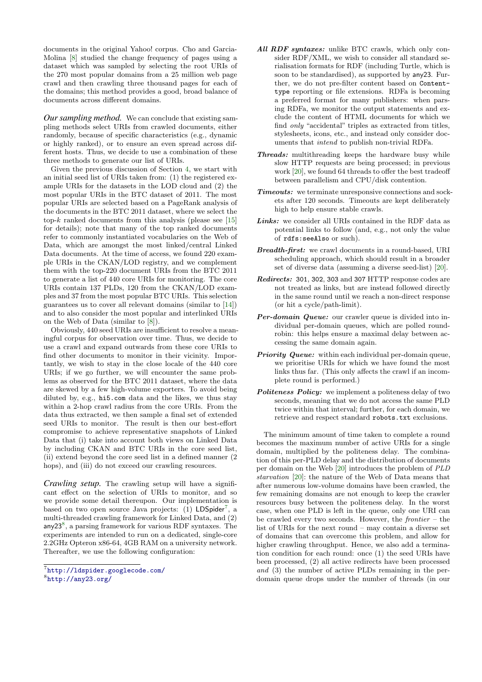documents in the original Yahoo! corpus. Cho and Garcia-Molina [\[8\]](#page-9-15) studied the change frequency of pages using a dataset which was sampled by selecting the root URIs of the 270 most popular domains from a 25 million web page crawl and then crawling three thousand pages for each of the domains; this method provides a good, broad balance of documents across different domains.

*Our sampling method.* We can conclude that existing sampling methods select URIs from crawled documents, either randomly, because of specific characteristics (e.g., dynamic or highly ranked), or to ensure an even spread across different hosts. Thus, we decide to use a combination of these three methods to generate our list of URIs.

Given the previous discussion of Section [4,](#page-2-1) we start with an initial seed list of URIs taken from: (1) the registered example URIs for the datasets in the LOD cloud and (2) the most popular URIs in the BTC dataset of 2011. The most popular URIs are selected based on a PageRank analysis of the documents in the BTC 2011 dataset, where we select the top- $k$  ranked documents from this analysis (please see [\[15\]](#page-9-30) for details); note that many of the top ranked documents refer to commonly instantiated vocabularies on the Web of Data, which are amongst the most linked/central Linked Data documents. At the time of access, we found 220 example URIs in the CKAN/LOD registry, and we complement them with the top-220 document URIs from the BTC 2011 to generate a list of 440 core URIs for monitoring. The core URIs contain 137 PLDs, 120 from the CKAN/LOD examples and 37 from the most popular BTC URIs. This selection guarantees us to cover all relevant domains (similar to [\[14\]](#page-9-17)) and to also consider the most popular and interlinked URIs on the Web of Data (similar to [\[8\]](#page-9-15)).

Obviously, 440 seed URIs are insufficient to resolve a meaningful corpus for observation over time. Thus, we decide to use a crawl and expand outwards from these core URIs to find other documents to monitor in their vicinity. Importantly, we wish to stay in the close locale of the 440 core URIs; if we go further, we will encounter the same problems as observed for the BTC 2011 dataset, where the data are skewed by a few high-volume exporters. To avoid being diluted by, e.g., hi5.com data and the likes, we thus stay within a 2-hop crawl radius from the core URIs. From the data thus extracted, we then sample a final set of extended seed URIs to monitor. The result is then our best-effort compromise to achieve representative snapshots of Linked Data that (i) take into account both views on Linked Data by including CKAN and BTC URIs in the core seed list, (ii) extend beyond the core seed list in a defined manner (2 hops), and (iii) do not exceed our crawling resources.

*Crawling setup.* The crawling setup will have a significant effect on the selection of URIs to monitor, and so we provide some detail thereupon. Our implementation is based on two open source Java projects: (1) LDSpider<sup>[7](#page-6-0)</sup>, a multi-threaded crawling framework for Linked Data, and (2) any23<sup>[8](#page-6-1)</sup>, a parsing framework for various RDF syntaxes. The experiments are intended to run on a dedicated, single-core 2.2GHz Opteron x86-64, 4GB RAM on a university network. Thereafter, we use the following configuration:

- All RDF syntaxes: unlike BTC crawls, which only consider RDF/XML, we wish to consider all standard serialisation formats for RDF (including Turtle, which is soon to be standardised), as supported by any23. Further, we do not pre-filter content based on Contenttype reporting or file extensions. RDFa is becoming a preferred format for many publishers: when parsing RDFa, we monitor the output statements and exclude the content of HTML documents for which we find *only* "accidental" triples as extracted from titles, stylesheets, icons, etc., and instead only consider documents that intend to publish non-trivial RDFa.
- Threads: multithreading keeps the hardware busy while slow HTTP requests are being processed; in previous work [\[20\]](#page-9-9), we found 64 threads to offer the best tradeoff between parallelism and CPU/disk contention.
- Timeouts: we terminate unresponsive connections and sockets after 120 seconds. Timeouts are kept deliberately high to help ensure stable crawls.
- Links: we consider all URIs contained in the RDF data as potential links to follow (and, e.g., not only the value of rdfs:seeAlso or such).
- Breadth-first: we crawl documents in a round-based, URI scheduling approach, which should result in a broader set of diverse data (assuming a diverse seed-list) [\[20\]](#page-9-9).
- Redirects: 301, 302, 303 and 307 HTTP response codes are not treated as links, but are instead followed directly in the same round until we reach a non-direct response (or hit a cycle/path-limit).
- Per-domain Queue: our crawler queue is divided into individual per-domain queues, which are polled roundrobin: this helps ensure a maximal delay between accessing the same domain again.
- **Priority Queue:** within each individual per-domain queue, we prioritise URIs for which we have found the most links thus far. (This only affects the crawl if an incomplete round is performed.)
- Politeness Policy: we implement a politeness delay of two seconds, meaning that we do not access the same PLD twice within that interval; further, for each domain, we retrieve and respect standard robots.txt exclusions.

The minimum amount of time taken to complete a round becomes the maximum number of active URIs for a single domain, multiplied by the politeness delay. The combination of this per-PLD delay and the distribution of documents per domain on the Web [\[20\]](#page-9-9) introduces the problem of PLD starvation [\[20\]](#page-9-9): the nature of the Web of Data means that after numerous low-volume domains have been crawled, the few remaining domains are not enough to keep the crawler resources busy between the politeness delay. In the worst case, when one PLD is left in the queue, only one URI can be crawled every two seconds. However, the  $frontier -$ the list of URIs for the next round – may contain a diverse set of domains that can overcome this problem, and allow for higher crawling throughput. Hence, we also add a termination condition for each round: once (1) the seed URIs have been processed, (2) all active redirects have been processed and (3) the number of active PLDs remaining in the perdomain queue drops under the number of threads (in our

<span id="page-6-0"></span><sup>7</sup> <http://ldspider.googlecode.com/>

<span id="page-6-1"></span><sup>8</sup> <http://any23.org/>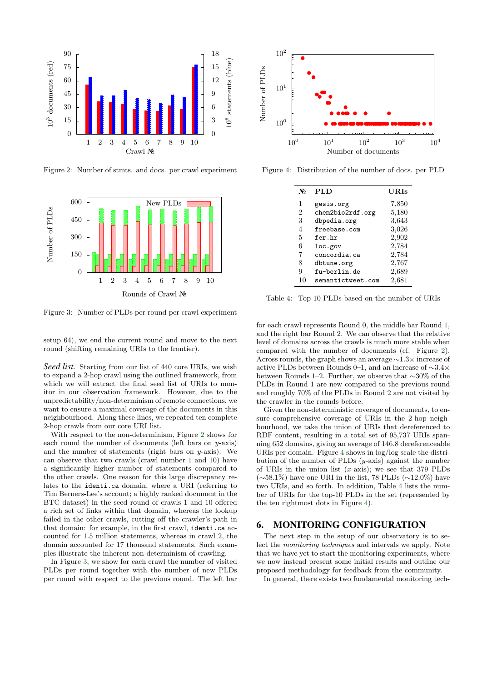<span id="page-7-1"></span>

Figure 2: Number of stmts. and docs. per crawl experiment

<span id="page-7-2"></span>

Figure 3: Number of PLDs per round per crawl experiment

setup 64), we end the current round and move to the next round (shifting remaining URIs to the frontier).

Seed list. Starting from our list of 440 core URIs, we wish to expand a 2-hop crawl using the outlined framework, from which we will extract the final seed list of URIs to monitor in our observation framework. However, due to the unpredictability/non-determinism of remote connections, we want to ensure a maximal coverage of the documents in this neighbourhood. Along these lines, we repeated ten complete 2-hop crawls from our core URI list.

With respect to the non-determinism, Figure [2](#page-7-1) shows for each round the number of documents (left bars on  $y$ -axis) and the number of statements (right bars on  $y$ -axis). We can observe that two crawls (crawl number 1 and 10) have a significantly higher number of statements compared to the other crawls. One reason for this large discrepancy relates to the identi.ca domain, where a URI (referring to Tim Berners-Lee's account; a highly ranked document in the BTC dataset) in the seed round of crawls 1 and 10 offered a rich set of links within that domain, whereas the lookup failed in the other crawls, cutting off the crawler's path in that domain: for example, in the first crawl, identi.ca accounted for 1.5 million statements, whereas in crawl 2, the domain accounted for 17 thousand statements. Such examples illustrate the inherent non-determinism of crawling.

In Figure [3,](#page-7-2) we show for each crawl the number of visited PLDs per round together with the number of new PLDs per round with respect to the previous round. The left bar

<span id="page-7-3"></span>

<span id="page-7-4"></span>Figure 4: Distribution of the number of docs. per PLD

| No | <b>PLD</b>        | URIs  |
|----|-------------------|-------|
| 1  | gesis.org         | 7,850 |
| 2  | chem2bio2rdf.org  | 5,180 |
| 3  | dbpedia.org       | 3,643 |
| 4  | freebase.com      | 3,026 |
| 5  | fer.hr            | 2,902 |
| 6  | loc.gov           | 2,784 |
| 7  | concordia.ca      | 2,784 |
| 8  | dbtune.org        | 2,767 |
| 9  | fu-berlin.de      | 2,689 |
| 10 | semantictweet.com | 2,681 |

Table 4: Top 10 PLDs based on the number of URIs

for each crawl represents Round 0, the middle bar Round 1, and the right bar Round 2. We can observe that the relative level of domains across the crawls is much more stable when compared with the number of documents (cf. Figure [2\)](#page-7-1). Across rounds, the graph shows an average ∼1.3× increase of active PLDs between Rounds 0–1, and an increase of ∼3.4× between Rounds 1–2. Further, we observe that ∼30% of the PLDs in Round 1 are new compared to the previous round and roughly 70% of the PLDs in Round 2 are not visited by the crawler in the rounds before.

Given the non-deterministic coverage of documents, to ensure comprehensive coverage of URIs in the 2-hop neighbourhood, we take the union of URIs that dereferenced to RDF content, resulting in a total set of 95,737 URIs spanning 652 domains, giving an average of 146.8 dereferenceable URIs per domain. Figure [4](#page-7-3) shows in log/log scale the distribution of the number of PLDs  $(y\text{-axis})$  against the number of URIs in the union list  $(x\text{-axis})$ ; we see that 379 PLDs (∼58.1%) have one URI in the list, 78 PLDs (∼12.0%) have two URIs, and so forth. In addition, Table [4](#page-7-4) lists the number of URIs for the top-10 PLDs in the set (represented by the ten rightmost dots in Figure [4\)](#page-7-3).

#### <span id="page-7-0"></span>6. MONITORING CONFIGURATION

The next step in the setup of our observatory is to select the monitoring techniques and intervals we apply. Note that we have yet to start the monitoring experiments, where we now instead present some initial results and outline our proposed methodology for feedback from the community.

In general, there exists two fundamental monitoring tech-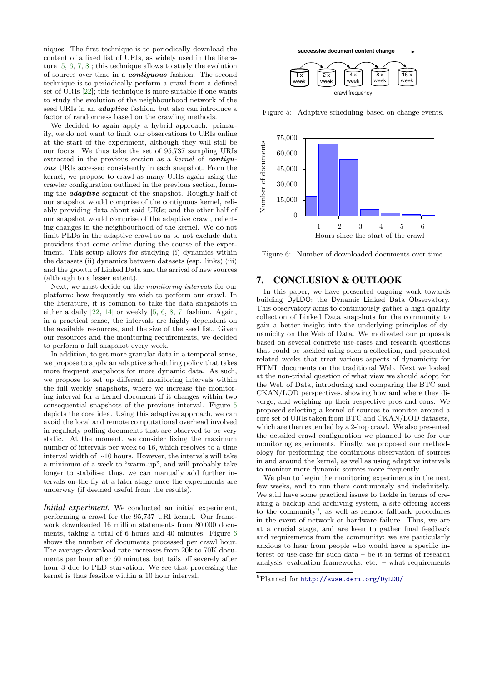niques. The first technique is to periodically download the content of a fixed list of URIs, as widely used in the literature [\[5,](#page-9-12) [6,](#page-9-13) [7,](#page-9-16) [8\]](#page-9-15); this technique allows to study the evolution of sources over time in a contiguous fashion. The second technique is to periodically perform a crawl from a defined set of URIs [\[22\]](#page-9-18); this technique is more suitable if one wants to study the evolution of the neighbourhood network of the seed URIs in an *adaptive* fashion, but also can introduce a factor of randomness based on the crawling methods.

We decided to again apply a hybrid approach: primarily, we do not want to limit our observations to URIs online at the start of the experiment, although they will still be our focus. We thus take the set of 95,737 sampling URIs extracted in the previous section as a kernel of **contigu**ous URIs accessed consistently in each snapshot. From the kernel, we propose to crawl as many URIs again using the crawler configuration outlined in the previous section, forming the adaptive segment of the snapshot. Roughly half of our snapshot would comprise of the contiguous kernel, reliably providing data about said URIs; and the other half of our snapshot would comprise of the adaptive crawl, reflecting changes in the neighbourhood of the kernel. We do not limit PLDs in the adaptive crawl so as to not exclude data providers that come online during the course of the experiment. This setup allows for studying (i) dynamics within the datasets (ii) dynamics between datasets (esp. links) (iii) and the growth of Linked Data and the arrival of new sources (although to a lesser extent).

Next, we must decide on the monitoring intervals for our platform: how frequently we wish to perform our crawl. In the literature, it is common to take the data snapshots in either a daily [\[22,](#page-9-18) [14\]](#page-9-17) or weekly [\[5,](#page-9-12) [6,](#page-9-13) [8,](#page-9-15) [7\]](#page-9-16) fashion. Again, in a practical sense, the intervals are highly dependent on the available resources, and the size of the seed list. Given our resources and the monitoring requirements, we decided to perform a full snapshot every week.

In addition, to get more granular data in a temporal sense, we propose to apply an adaptive scheduling policy that takes more frequent snapshots for more dynamic data. As such, we propose to set up different monitoring intervals within the full weekly snapshots, where we increase the monitoring interval for a kernel document if it changes within two consequential snapshots of the previous interval. Figure [5](#page-8-1) depicts the core idea. Using this adaptive approach, we can avoid the local and remote computational overhead involved in regularly polling documents that are observed to be very static. At the moment, we consider fixing the maximum number of intervals per week to 16, which resolves to a time interval width of ∼10 hours. However, the intervals will take a minimum of a week to "warm-up", and will probably take longer to stabilise; thus, we can manually add further intervals on-the-fly at a later stage once the experiments are underway (if deemed useful from the results).

*Initial experiment.* We conducted an initial experiment, performing a crawl for the 95,737 URI kernel. Our framework downloaded 16 million statements from 80,000 documents, taking a total of 6 hours and 40 minutes. Figure [6](#page-8-2) shows the number of documents processed per crawl hour. The average download rate increases from 20k to 70K documents per hour after 60 minutes, but tails off severely after hour 3 due to PLD starvation. We see that processing the kernel is thus feasible within a 10 hour interval.

**successive document content change** 

<span id="page-8-1"></span>

Figure 5: Adaptive scheduling based on change events.

<span id="page-8-2"></span>

Figure 6: Number of downloaded documents over time.

# <span id="page-8-0"></span>7. CONCLUSION & OUTLOOK

In this paper, we have presented ongoing work towards building DyLDO: the Dynamic Linked Data Observatory. This observatory aims to continuously gather a high-quality collection of Linked Data snapshots for the community to gain a better insight into the underlying principles of dynamicity on the Web of Data. We motivated our proposals based on several concrete use-cases and research questions that could be tackled using such a collection, and presented related works that treat various aspects of dynamicity for HTML documents on the traditional Web. Next we looked at the non-trivial question of what view we should adopt for the Web of Data, introducing and comparing the BTC and CKAN/LOD perspectives, showing how and where they diverge, and weighing up their respective pros and cons. We proposed selecting a kernel of sources to monitor around a core set of URIs taken from BTC and CKAN/LOD datasets, which are then extended by a 2-hop crawl. We also presented the detailed crawl configuration we planned to use for our monitoring experiments. Finally, we proposed our methodology for performing the continuous observation of sources in and around the kernel, as well as using adaptive intervals to monitor more dynamic sources more frequently.

We plan to begin the monitoring experiments in the next few weeks, and to run them continuously and indefinitely. We still have some practical issues to tackle in terms of creating a backup and archiving system, a site offering access to the community<sup>[9](#page-8-3)</sup>, as well as remote fallback procedures in the event of network or hardware failure. Thus, we are at a crucial stage, and are keen to gather final feedback and requirements from the community: we are particularly anxious to hear from people who would have a specific interest or use-case for such data – be it in terms of research analysis, evaluation frameworks, etc. – what requirements

<span id="page-8-3"></span><sup>9</sup>Planned for <http://swse.deri.org/DyLDO/>